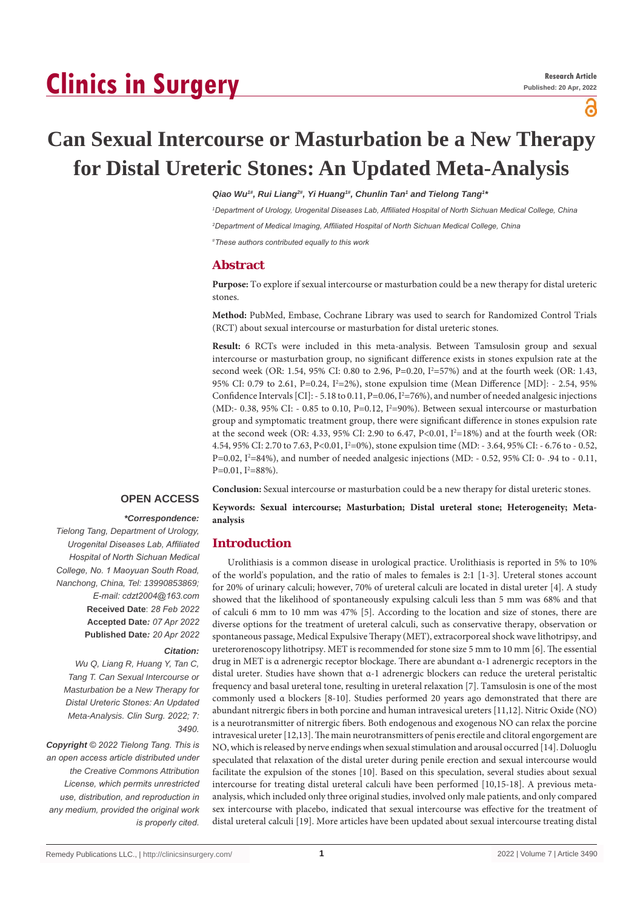# **Clinics in Surgery**

ဥ

# **Can Sexual Intercourse or Masturbation be a New Therapy for Distal Ureteric Stones: An Updated Meta-Analysis**

#### Qiao Wu<sup>1#</sup>, Rui Liang<sup>2#</sup>, Yi Huang<sup>1#</sup>, Chunlin Tan<sup>1</sup> and Tielong Tang<sup>1</sup><sup>\*</sup>

*1 Department of Urology, Urogenital Diseases Lab, Affiliated Hospital of North Sichuan Medical College, China*

*2 Department of Medical Imaging, Affiliated Hospital of North Sichuan Medical College, China*

*# These authors contributed equally to this work*

# **Abstract**

**Purpose:** To explore if sexual intercourse or masturbation could be a new therapy for distal ureteric stones.

**Method:** PubMed, Embase, Cochrane Library was used to search for Randomized Control Trials (RCT) about sexual intercourse or masturbation for distal ureteric stones.

**Result:** 6 RCTs were included in this meta-analysis. Between Tamsulosin group and sexual intercourse or masturbation group, no significant difference exists in stones expulsion rate at the second week (OR: 1.54, 95% CI: 0.80 to 2.96, P=0.20,  $I^2 = 57\%$ ) and at the fourth week (OR: 1.43, 95% CI: 0.79 to 2.61, P=0.24, I<sup>2</sup>=2%), stone expulsion time (Mean Difference [MD]: - 2.54, 95% Confidence Intervals [CI]:  $-5.18$  to  $0.11$ ,  $P=0.06$ ,  $I^2=76%$ ), and number of needed analgesic injections (MD:- 0.38, 95% CI: - 0.85 to 0.10, P=0.12,  $I^2=90\%$ ). Between sexual intercourse or masturbation group and symptomatic treatment group, there were significant difference in stones expulsion rate at the second week (OR: 4.33, 95% CI: 2.90 to 6.47,  $P<0.01$ ,  $I^2=18%$ ) and at the fourth week (OR: 4.54, 95% CI: 2.70 to 7.63, P<0.01, I2 =0%), stone expulsion time (MD: - 3.64, 95% CI: - 6.76 to - 0.52, P=0.02,  $I^2$ =84%), and number of needed analgesic injections (MD: - 0.52, 95% CI: 0-.94 to - 0.11,  $P=0.01, I^2=88\%$ ).

**Conclusion:** Sexual intercourse or masturbation could be a new therapy for distal ureteric stones.

# **OPEN ACCESS**

**Keywords: Sexual intercourse; Masturbation; Distal ureteral stone; Heterogeneity; Metaanalysis**

# **Introduction**

Urolithiasis is a common disease in urological practice. Urolithiasis is reported in 5% to 10% of the world's population, and the ratio of males to females is 2:1 [1-3]. Ureteral stones account for 20% of urinary calculi; however, 70% of ureteral calculi are located in distal ureter [4]. A study showed that the likelihood of spontaneously expulsing calculi less than 5 mm was 68% and that of calculi 6 mm to 10 mm was 47% [5]. According to the location and size of stones, there are diverse options for the treatment of ureteral calculi, such as conservative therapy, observation or spontaneous passage, Medical Expulsive Therapy (MET), extracorporeal shock wave lithotripsy, and ureterorenoscopy lithotripsy. MET is recommended for stone size 5 mm to 10 mm [6]. The essential drug in MET is α adrenergic receptor blockage. There are abundant α-1 adrenergic receptors in the distal ureter. Studies have shown that α-1 adrenergic blockers can reduce the ureteral peristaltic frequency and basal ureteral tone, resulting in ureteral relaxation [7]. Tamsulosin is one of the most commonly used α blockers [8-10]. Studies performed 20 years ago demonstrated that there are abundant nitrergic fibers in both porcine and human intravesical ureters [11,12]. Nitric Oxide (NO) is a neurotransmitter of nitrergic fibers. Both endogenous and exogenous NO can relax the porcine intravesical ureter [12,13]. The main neurotransmitters of penis erectile and clitoral engorgement are NO, which is released by nerve endings when sexual stimulation and arousal occurred [14]. Doluoglu speculated that relaxation of the distal ureter during penile erection and sexual intercourse would facilitate the expulsion of the stones [10]. Based on this speculation, several studies about sexual intercourse for treating distal ureteral calculi have been performed [10,15-18]. A previous metaanalysis, which included only three original studies, involved only male patients, and only compared sex intercourse with placebo, indicated that sexual intercourse was effective for the treatment of distal ureteral calculi [19]. More articles have been updated about sexual intercourse treating distal

 *\*Correspondence: Tielong Tang, Department of Urology, Urogenital Diseases Lab, Affiliated Hospital of North Sichuan Medical College, No. 1 Maoyuan South Road, Nanchong, China, Tel: 13990853869; E-mail: cdzt2004@163.com* **Received Date**: *28 Feb 2022* **Accepted Date***: 07 Apr 2022* **Published Date***: 20 Apr 2022*

#### *Citation:*

*Wu Q, Liang R, Huang Y, Tan C, Tang T. Can Sexual Intercourse or Masturbation be a New Therapy for Distal Ureteric Stones: An Updated Meta-Analysis. Clin Surg. 2022; 7: 3490.*

*Copyright © 2022 Tielong Tang. This is an open access article distributed under the Creative Commons Attribution License, which permits unrestricted use, distribution, and reproduction in any medium, provided the original work is properly cited.*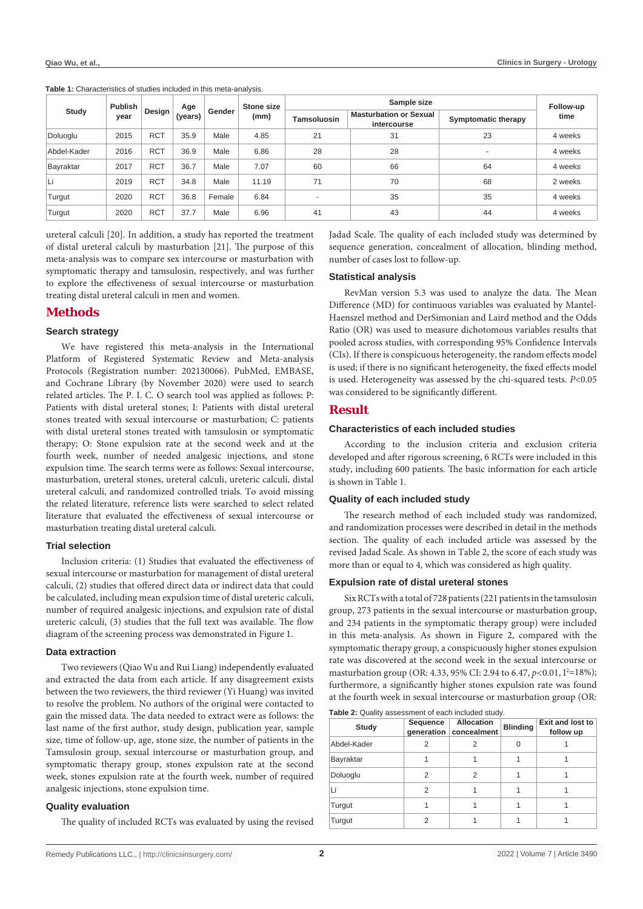| Study       | <b>Publish</b><br>year | Design     | Age<br>(years) | Gender | Stone size<br>(mm) |             | Follow-up                                    |                     |         |
|-------------|------------------------|------------|----------------|--------|--------------------|-------------|----------------------------------------------|---------------------|---------|
|             |                        |            |                |        |                    | Tamsoluosin | <b>Masturbation or Sexual</b><br>intercourse | Symptomatic therapy | time    |
| Doluoglu    | 2015                   | <b>RCT</b> | 35.9           | Male   | 4.85               | 21          | 31                                           | 23                  | 4 weeks |
| Abdel-Kader | 2016                   | <b>RCT</b> | 36.9           | Male   | 6.86               | 28          | 28                                           |                     | 4 weeks |
| Bayraktar   | 2017                   | <b>RCT</b> | 36.7           | Male   | 7.07               | 60          | 66                                           | 64                  | 4 weeks |
| Li          | 2019                   | <b>RCT</b> | 34.8           | Male   | 11.19              | 71          | 70                                           | 68                  | 2 weeks |
| Turgut      | 2020                   | <b>RCT</b> | 36.8           | Female | 6.84               | -           | 35                                           | 35                  | 4 weeks |
| Turgut      | 2020                   | <b>RCT</b> | 37.7           | Male   | 6.96               | 41          | 43                                           | 44                  | 4 weeks |

**Table 1:** Characteristics of studies included in this meta-analysis.

ureteral calculi [20]. In addition, a study has reported the treatment of distal ureteral calculi by masturbation [21]. The purpose of this meta-analysis was to compare sex intercourse or masturbation with symptomatic therapy and tamsulosin, respectively, and was further to explore the effectiveness of sexual intercourse or masturbation treating distal ureteral calculi in men and women.

# **Methods**

# **Search strategy**

We have registered this meta-analysis in the International Platform of Registered Systematic Review and Meta-analysis Protocols (Registration number: 202130066). PubMed, EMBASE, and Cochrane Library (by November 2020) were used to search related articles. The P. I. C. O search tool was applied as follows: P: Patients with distal ureteral stones; I: Patients with distal ureteral stones treated with sexual intercourse or masturbation; C: patients with distal ureteral stones treated with tamsulosin or symptomatic therapy; O: Stone expulsion rate at the second week and at the fourth week, number of needed analgesic injections, and stone expulsion time. The search terms were as follows: Sexual intercourse, masturbation, ureteral stones, ureteral calculi, ureteric calculi, distal ureteral calculi, and randomized controlled trials. To avoid missing the related literature, reference lists were searched to select related literature that evaluated the effectiveness of sexual intercourse or masturbation treating distal ureteral calculi.

### **Trial selection**

Inclusion criteria: (1) Studies that evaluated the effectiveness of sexual intercourse or masturbation for management of distal ureteral calculi, (2) studies that offered direct data or indirect data that could be calculated, including mean expulsion time of distal ureteric calculi, number of required analgesic injections, and expulsion rate of distal ureteric calculi, (3) studies that the full text was available. The flow diagram of the screening process was demonstrated in Figure 1.

#### **Data extraction**

Two reviewers (Qiao Wu and Rui Liang) independently evaluated and extracted the data from each article. If any disagreement exists between the two reviewers, the third reviewer (Yi Huang) was invited to resolve the problem. No authors of the original were contacted to gain the missed data. The data needed to extract were as follows: the last name of the first author, study design, publication year, sample size, time of follow-up, age, stone size, the number of patients in the Tamsulosin group, sexual intercourse or masturbation group, and symptomatic therapy group, stones expulsion rate at the second week, stones expulsion rate at the fourth week, number of required analgesic injections, stone expulsion time.

# **Quality evaluation**

The quality of included RCTs was evaluated by using the revised

Jadad Scale. The quality of each included study was determined by sequence generation, concealment of allocation, blinding method, number of cases lost to follow-up.

# **Statistical analysis**

RevMan version 5.3 was used to analyze the data. The Mean Difference (MD) for continuous variables was evaluated by Mantel-Haenszel method and DerSimonian and Laird method and the Odds Ratio (OR) was used to measure dichotomous variables results that pooled across studies, with corresponding 95% Confidence Intervals (CIs). If there is conspicuous heterogeneity, the random effects model is used; if there is no significant heterogeneity, the fixed effects model is used. Heterogeneity was assessed by the chi-squared tests. *P*<0.05 was considered to be significantly different.

# **Result**

#### **Characteristics of each included studies**

According to the inclusion criteria and exclusion criteria developed and after rigorous screening, 6 RCTs were included in this study, including 600 patients. The basic information for each article is shown in Table 1.

### **Quality of each included study**

The research method of each included study was randomized, and randomization processes were described in detail in the methods section. The quality of each included article was assessed by the revised Jadad Scale. As shown in Table 2, the score of each study was more than or equal to 4, which was considered as high quality.

# **Expulsion rate of distal ureteral stones**

Six RCTs with a total of 728 patients (221 patients in the tamsulosin group, 273 patients in the sexual intercourse or masturbation group, and 234 patients in the symptomatic therapy group) were included in this meta-analysis. As shown in Figure 2, compared with the symptomatic therapy group, a conspicuously higher stones expulsion rate was discovered at the second week in the sexual intercourse or masturbation group (OR: 4.33, 95% CI: 2.94 to 6.47,  $p$ <0.01,  $I^2$ =18%); furthermore, a significantly higher stones expulsion rate was found at the fourth week in sexual intercourse or masturbation group (OR:

| Table 2: Quality assessment of each included study. |  |  |  |
|-----------------------------------------------------|--|--|--|
|-----------------------------------------------------|--|--|--|

| Study       | Sequence<br>generation | Allocation<br>concealment | <b>Blinding</b> | <b>Exit and lost to</b><br>follow up |
|-------------|------------------------|---------------------------|-----------------|--------------------------------------|
| Abdel-Kader | 2                      | $\overline{2}$            | 0               |                                      |
| Bayraktar   |                        |                           |                 |                                      |
| Doluoglu    | 2                      | 2                         |                 |                                      |
| Li          | 2                      |                           |                 |                                      |
| Turgut      |                        |                           |                 |                                      |
| Turgut      |                        |                           |                 |                                      |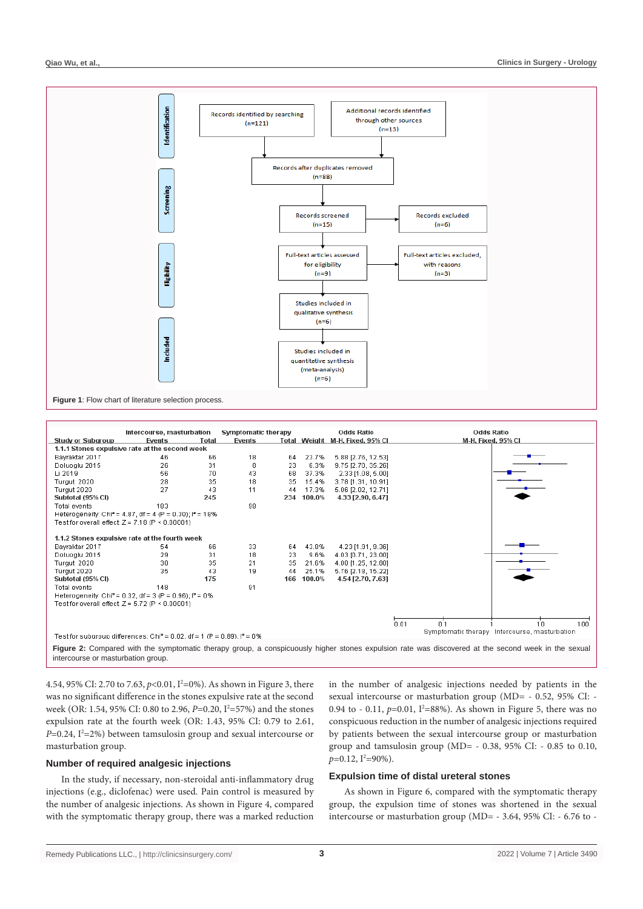

Intercourse, masturbation **Symptomatic therapy** Odds Ratio Odds Ratio **Study or Subgroup** Total Weight M-H. Fixed, 95% C M-H. Fixed. 95% CI Events Total Events 1.1.1 Stones expulsive rate at the second week Bayraktar 2017  $46$  $68$ 18 23.7% 5.88 [2.76, 12.53]  $BA$ Doluoglu 2015 26  $31$  $\mathbf{a}$  $23$ 6.3% 9.75 (2.70, 35.26) 37.3%  $2.33$  [1.08, 5.00] Li 2019 56 70 43 68 Turgut 2020  $\overline{28}$  $35$  $\overline{18}$ 15.4% 3.78 [1.31, 10.91] 35  $5.06$  [2.02, 12.71] Turgut 2020  $27$  $43$  $11$  $\overline{44}$ 17.3% Subtotal (95% CI) 245 234 100.0%  $4.33$  [2.90, 6.47] 183 ۹s Total events Heterogeneity: Chi<sup>2</sup> = 4.87, df = 4 (P = 0.30); l<sup>2</sup> = 18% Test for overall effect:  $7 = 7,18$  (P  $\leq 0,00001$ ) 1.1.2 Stones expulsive rate at the fourth week Bayraktar 2017 คิคิ  $33$ 43.8% 4 23 11 91 9 361 54 64 Doluoglu 2015 29  $18$ 23 9.6% 4.03 [0.71, 23.00]  $31$ Turgut 2020  $30$ 35  $\overline{21}$ 35 21.6% 4.00 [1.25, 12.80] Turgut 2020 35 43 19 44 25.1% 5.76.12.18.15.221 Subtotal (95% CI) 175 166 100.0% 4.54 [2.70, 7.63]  $91$ Total events 148 Heterogeneity: Chi<sup>2</sup> = 0.32, df = 3 (P = 0.96);  $P = 0\%$ Test for overall effect:  $Z = 5.72$  (P < 0.00001)  $\frac{1}{0.01}$  $\frac{1}{10}$  $0.1$  $100$ Symptomatic therapy Intercourse, masturbation Test for subgroup differences: Chi<sup>2</sup> = 0.02, df = 1 (P = 0.89),  $P = 0$ %

Figure 2: Compared with the symptomatic therapy group, a conspicuously higher stones expulsion rate was discovered at the second week in the sexual intercourse or masturbation group.

4.54, 95% CI: 2.70 to 7.63, p<0.01, I<sup>2</sup>=0%). As shown in Figure 3, there was no significant difference in the stones expulsive rate at the second week (OR: 1.54, 95% CI: 0.80 to 2.96, *P*=0.20, I<sup>2</sup>=57%) and the stones expulsion rate at the fourth week (OR: 1.43, 95% CI: 0.79 to 2.61, P=0.24, I<sup>2</sup>=2%) between tamsulosin group and sexual intercourse or masturbation group.

## **Number of required analgesic injections**

In the study, if necessary, non-steroidal anti-inflammatory drug injections (e.g., diclofenac) were used. Pain control is measured by the number of analgesic injections. As shown in Figure 4, compared with the symptomatic therapy group, there was a marked reduction

in the number of analgesic injections needed by patients in the sexual intercourse or masturbation group (MD= - 0.52, 95% CI: - 0.94 to - 0.11,  $p=0.01$ ,  $I^2=88\%$ ). As shown in Figure 5, there was no conspicuous reduction in the number of analgesic injections required by patients between the sexual intercourse group or masturbation group and tamsulosin group (MD= - 0.38, 95% CI: - 0.85 to 0.10, p=0.12, I<sup>2</sup>=90%).

#### **Expulsion time of distal ureteral stones**

As shown in Figure 6, compared with the symptomatic therapy group, the expulsion time of stones was shortened in the sexual intercourse or masturbation group (MD= - 3.64, 95% CI: - 6.76 to -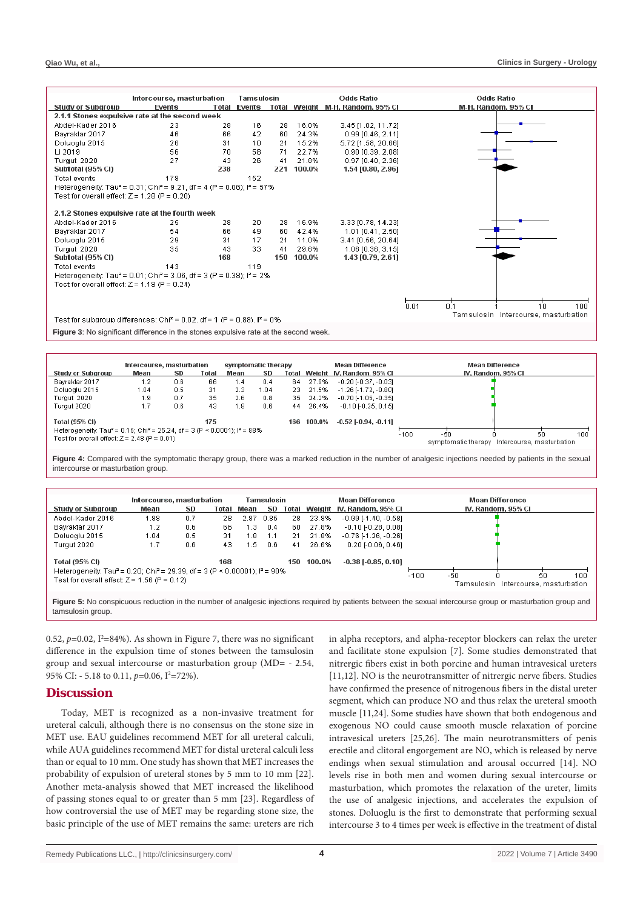|                                                | Intercourse, masturbation                                                                                |     | Tamsulosin   |     |        | <b>Odds Ratio</b>                | <b>Odds Ratio</b>                    |  |  |  |
|------------------------------------------------|----------------------------------------------------------------------------------------------------------|-----|--------------|-----|--------|----------------------------------|--------------------------------------|--|--|--|
| Study or Subgroup                              | Events                                                                                                   |     | Total Events |     |        | Total Weight M-H, Random, 95% Cl | M-H, Random, 95% CI                  |  |  |  |
| 2.1.1 Stones expulsive rate at the second week |                                                                                                          |     |              |     |        |                                  |                                      |  |  |  |
| Abdel-Kader 2016                               | 23                                                                                                       | 28  | 16           | 28  | 16.0%  | 3.45 [1.02, 11.72]               |                                      |  |  |  |
| Bayraktar 2017                                 | 46                                                                                                       | 66  | 42           | 60  | 24.3%  | 0.99 [0.46, 2.11]                |                                      |  |  |  |
| Doluoglu 2015                                  | 26                                                                                                       | 31  | 10           | 21  | 15.2%  | 5.72 [1.58, 20.66]               |                                      |  |  |  |
| Li 2019                                        | 56                                                                                                       | 70  | 58           | 71  | 22.7%  | $0.90$ $[0.39, 2.08]$            |                                      |  |  |  |
| Turgut 2020                                    | 27                                                                                                       | 43  | 26           | 41  | 21.8%  | $0.97$ [0.40, 2.36]              |                                      |  |  |  |
| Subtotal (95% CI)                              |                                                                                                          | 238 |              | 221 | 100.0% | 1.54 [0.80, 2.96]                |                                      |  |  |  |
| Total events                                   | 178                                                                                                      |     | 152          |     |        |                                  |                                      |  |  |  |
|                                                | Heterogeneity: Tau <sup>2</sup> = 0.31; Chi <sup>2</sup> = 9.21, df = 4 (P = 0.06); l <sup>2</sup> = 57% |     |              |     |        |                                  |                                      |  |  |  |
| Test for overall effect: $Z = 1.28$ (P = 0.20) |                                                                                                          |     |              |     |        |                                  |                                      |  |  |  |
|                                                |                                                                                                          |     |              |     |        |                                  |                                      |  |  |  |
|                                                | 2.1.2 Stones expulsive rate at the fourth week                                                           |     |              |     |        |                                  |                                      |  |  |  |
| Abdel-Kader 2016                               | 25                                                                                                       | 28  | 20           | 28  | 16.9%  | 3.33 [0.78, 14.23]               |                                      |  |  |  |
| Bayraktar 2017                                 | 54                                                                                                       | 66  | 49           | 60  | 42.4%  | 1.01 [0.41, 2.50]                |                                      |  |  |  |
| Doluoglu 2015                                  | 29                                                                                                       | 31  | 17           | 21  | 11.0%  | $3.41$ [0.56, 20.64]             |                                      |  |  |  |
| Turqut 2020                                    | 35                                                                                                       | 43  | 33           | 41  | 29.6%  | 1.06 [0.36, 3.15]                |                                      |  |  |  |
| Subtotal (95% CI)                              |                                                                                                          | 168 |              | 150 | 100.0% | 1.43 [0.79, 2.61]                |                                      |  |  |  |
| <b>Total events</b>                            | 143                                                                                                      |     | 119          |     |        |                                  |                                      |  |  |  |
|                                                | Heterogeneity: Tau <sup>2</sup> = 0.01; Chi <sup>2</sup> = 3.06, df = 3 (P = 0.38); l <sup>2</sup> = 2%  |     |              |     |        |                                  |                                      |  |  |  |
| Test for overall effect: $Z = 1.18$ (P = 0.24) |                                                                                                          |     |              |     |        |                                  |                                      |  |  |  |
|                                                |                                                                                                          |     |              |     |        |                                  |                                      |  |  |  |
|                                                |                                                                                                          |     |              |     |        |                                  | 0.1                                  |  |  |  |
|                                                |                                                                                                          |     |              |     |        |                                  | 0.01<br>10<br>100                    |  |  |  |
|                                                | Test for subgroup differences: Chi <sup>2</sup> = 0.02, df = 1 (P = 0.88), $P = 0\%$                     |     |              |     |        |                                  | Tamsulosin Intercourse, masturbation |  |  |  |
|                                                | <b>Figure 3:</b> No significant difference in the stones expulsive rate at the second week.              |     |              |     |        |                                  |                                      |  |  |  |



**Figure 4:** Compared with the symptomatic therapy group, there was a marked reduction in the number of analgesic injections needed by patients in the sexual intercourse or masturbation group.

|                                                                                                                                                                                                                                       | Intercourse, masturbation |           |       | Tamsulosin |      |    | <b>Mean Difference</b> |                           | <b>Mean Difference</b>                                         |     |
|---------------------------------------------------------------------------------------------------------------------------------------------------------------------------------------------------------------------------------------|---------------------------|-----------|-------|------------|------|----|------------------------|---------------------------|----------------------------------------------------------------|-----|
| Study or Subgroup                                                                                                                                                                                                                     | Mean                      | <b>SD</b> | Total | Mean       | SD   |    | Total Weight           | IV. Random. 95% CI        | IV, Random, 95% CI                                             |     |
| Abdel-Kader 2016                                                                                                                                                                                                                      | 1.88                      | 0.7       | 28    | 2.87       | 0.85 | 28 | 23.8%                  | $-0.99$ [-1.40, $-0.58$ ] |                                                                |     |
| Bayraktar 2017                                                                                                                                                                                                                        | 1.2                       | 0.6       | 66    | 1.3        | 0.4  | 60 | 27.8%                  | $-0.10$ $[-0.28, 0.08]$   |                                                                |     |
| Doluoglu 2015                                                                                                                                                                                                                         | l.O4                      | 0.5       | 31    | L.8.       | 1.1  | 21 | 21.8%                  | $-0.76$ [-1.26, $-0.26$ ] |                                                                |     |
| Turaut 2020                                                                                                                                                                                                                           | 1.7                       | 0.6       | 43    | - 5        | 0.6  | 41 | 26.6%                  | $0.20$ F $0.06$ , $0.461$ |                                                                |     |
| 168<br>100.0%<br>$-0.38$ [ $-0.85$ , 0.10]<br>Total (95% CI)<br>150<br>Heterogeneity: Tau <sup>2</sup> = 0.20; Chi <sup>2</sup> = 29.39, df = 3 (P < 0.00001); i <sup>2</sup> = 90%<br>Test for overall effect: $Z = 1.56$ (P = 0.12) |                           |           |       |            |      |    |                        |                           | $-100$<br>-50<br>50<br>Intercourse, masturbation<br>Tamsulosin | 100 |

Figure 5: No conspicuous reduction in the number of analgesic injections required by patients between the sexual intercourse group or masturbation group and tamsulosin group

0.52,  $p=0.02$ ,  $I^2=84\%$ ). As shown in Figure 7, there was no significant difference in the expulsion time of stones between the tamsulosin group and sexual intercourse or masturbation group (MD= - 2.54, 95% CI: - 5.18 to 0.11, *p*=0.06, I<sup>2</sup>=72%).

### **Discussion**

Today, MET is recognized as a non-invasive treatment for ureteral calculi, although there is no consensus on the stone size in MET use. EAU guidelines recommend MET for all ureteral calculi, while AUA guidelines recommend MET for distal ureteral calculi less than or equal to 10 mm. One study has shown that MET increases the probability of expulsion of ureteral stones by 5 mm to 10 mm [22]. Another meta-analysis showed that MET increased the likelihood of passing stones equal to or greater than 5 mm [23]. Regardless of how controversial the use of MET may be regarding stone size, the basic principle of the use of MET remains the same: ureters are rich in alpha receptors, and alpha-receptor blockers can relax the ureter and facilitate stone expulsion [7]. Some studies demonstrated that nitrergic fibers exist in both porcine and human intravesical ureters [11,12]. NO is the neurotransmitter of nitrergic nerve fibers. Studies have confirmed the presence of nitrogenous fibers in the distal ureter segment, which can produce NO and thus relax the ureteral smooth muscle [11,24]. Some studies have shown that both endogenous and exogenous NO could cause smooth muscle relaxation of porcine intravesical ureters [25,26]. The main neurotransmitters of penis erectile and clitoral engorgement are NO, which is released by nerve endings when sexual stimulation and arousal occurred [14]. NO levels rise in both men and women during sexual intercourse or masturbation, which promotes the relaxation of the ureter, limits the use of analgesic injections, and accelerates the expulsion of stones. Doluoglu is the first to demonstrate that performing sexual intercourse 3 to 4 times per week is effective in the treatment of distal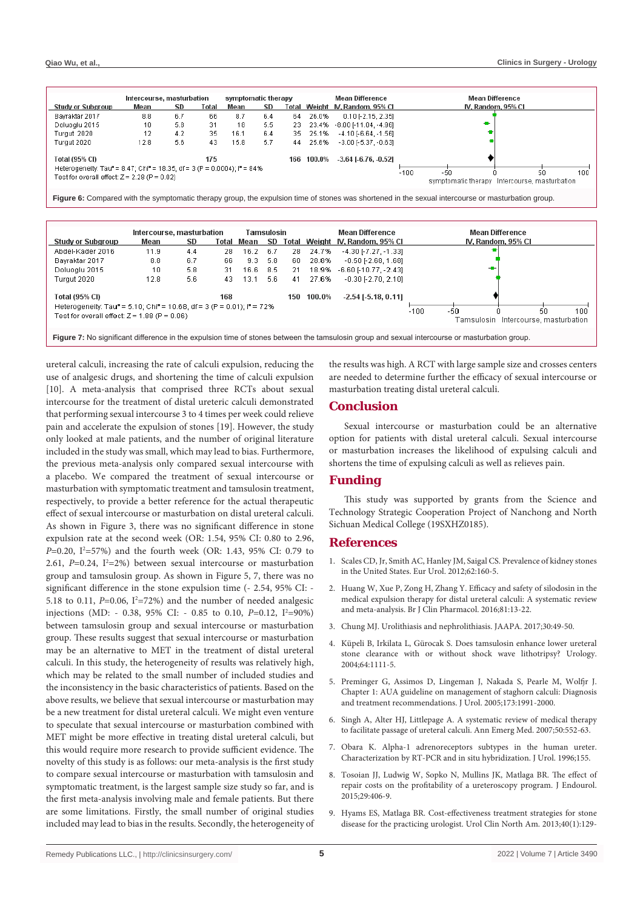

**Figure 6:** Compared with the symptomatic therapy group, the expulsion time of stones was shortened in the sexual intercourse or masturbation group.



ureteral calculi, increasing the rate of calculi expulsion, reducing the use of analgesic drugs, and shortening the time of calculi expulsion [10]. A meta-analysis that comprised three RCTs about sexual intercourse for the treatment of distal ureteric calculi demonstrated that performing sexual intercourse 3 to 4 times per week could relieve pain and accelerate the expulsion of stones [19]. However, the study only looked at male patients, and the number of original literature included in the study was small, which may lead to bias. Furthermore, the previous meta-analysis only compared sexual intercourse with a placebo. We compared the treatment of sexual intercourse or masturbation with symptomatic treatment and tamsulosin treatment, respectively, to provide a better reference for the actual therapeutic effect of sexual intercourse or masturbation on distal ureteral calculi. As shown in Figure 3, there was no significant difference in stone expulsion rate at the second week (OR: 1.54, 95% CI: 0.80 to 2.96, *P*=0.20, I<sup>2</sup>=57%) and the fourth week (OR: 1.43, 95% CI: 0.79 to 2.61,  $P=0.24$ ,  $I^2=2\%$ ) between sexual intercourse or masturbation group and tamsulosin group. As shown in Figure 5, 7, there was no significant difference in the stone expulsion time (- 2.54, 95% CI: - 5.18 to 0.11,  $P=0.06$ ,  $I^2=72\%$ ) and the number of needed analgesic injections (MD: - 0.38, 95% CI: - 0.85 to 0.10, *P*=0.12, I<sup>2</sup>=90%) between tamsulosin group and sexual intercourse or masturbation group. These results suggest that sexual intercourse or masturbation may be an alternative to MET in the treatment of distal ureteral calculi. In this study, the heterogeneity of results was relatively high, which may be related to the small number of included studies and the inconsistency in the basic characteristics of patients. Based on the above results, we believe that sexual intercourse or masturbation may be a new treatment for distal ureteral calculi. We might even venture to speculate that sexual intercourse or masturbation combined with MET might be more effective in treating distal ureteral calculi, but this would require more research to provide sufficient evidence. The novelty of this study is as follows: our meta-analysis is the first study to compare sexual intercourse or masturbation with tamsulosin and symptomatic treatment, is the largest sample size study so far, and is the first meta-analysis involving male and female patients. But there are some limitations. Firstly, the small number of original studies included may lead to bias in the results. Secondly, the heterogeneity of

the results was high. A RCT with large sample size and crosses centers are needed to determine further the efficacy of sexual intercourse or masturbation treating distal ureteral calculi.

# **Conclusion**

Sexual intercourse or masturbation could be an alternative option for patients with distal ureteral calculi. Sexual intercourse or masturbation increases the likelihood of expulsing calculi and shortens the time of expulsing calculi as well as relieves pain.

# **Funding**

This study was supported by grants from the Science and Technology Strategic Cooperation Project of Nanchong and North Sichuan Medical College (19SXHZ0185).

## **References**

- 1. [Scales CD, Jr, Smith AC, Hanley JM, Saigal CS. Prevalence of kidney stones](https://pubmed.ncbi.nlm.nih.gov/22498635/)  [in the United States. Eur Urol. 2012;62:160-5.](https://pubmed.ncbi.nlm.nih.gov/22498635/)
- 2. Huang W, Xue P, Zong H, Zhang Y. Efficacy and safety of silodosin in the medical expulsion therapy for distal ureteral calculi: A systematic review and meta-analysis. Br J Clin Pharmacol. 2016;81:13-22.
- 3. Chung MJ. Urolithiasis and nephrolithiasis. JAAPA. 2017;30:49-50.
- 4. [Küpeli B, Irkilata L, Gürocak S. Does tamsulosin enhance lower ureteral](https://pubmed.ncbi.nlm.nih.gov/15596181/)  [stone clearance with or without shock wave lithotripsy? Urology.](https://pubmed.ncbi.nlm.nih.gov/15596181/)  [2004;64:1111-5.](https://pubmed.ncbi.nlm.nih.gov/15596181/)
- 5. [Preminger G, Assimos D, Lingeman J, Nakada S, Pearle M, Wolfjr J.](https://pubmed.ncbi.nlm.nih.gov/15879803/)  [Chapter 1: AUA guideline on management of staghorn calculi: Diagnosis](https://pubmed.ncbi.nlm.nih.gov/15879803/)  [and treatment recommendations. J Urol. 2005;173:1991-2000.](https://pubmed.ncbi.nlm.nih.gov/15879803/)
- 6. [Singh A, Alter HJ, Littlepage A. A systematic review of medical therapy](https://pubmed.ncbi.nlm.nih.gov/17681643/)  [to facilitate passage of ureteral calculi. Ann Emerg Med. 2007;50:552-63.](https://pubmed.ncbi.nlm.nih.gov/17681643/)
- 7. Obara K. Alpha-1 adrenoreceptors subtypes in the human ureter. Characterization by RT-PCR and in situ hybridization. J Urol. 1996;155.
- 8. [Tosoian JJ, Ludwig W, Sopko N, Mullins JK, Matlaga BR. The effect of](https://pubmed.ncbi.nlm.nih.gov/25286008/)  [repair costs on the profitability of a ureteroscopy program. J Endourol.](https://pubmed.ncbi.nlm.nih.gov/25286008/)  [2015;29:406-9.](https://pubmed.ncbi.nlm.nih.gov/25286008/)
- 9. [Hyams ES, Matlaga BR. Cost-effectiveness treatment strategies for stone](https://pubmed.ncbi.nlm.nih.gov/23177640/)  [disease for the practicing urologist. Urol Clin North Am. 2013;40\(1\):129-](https://pubmed.ncbi.nlm.nih.gov/23177640/)